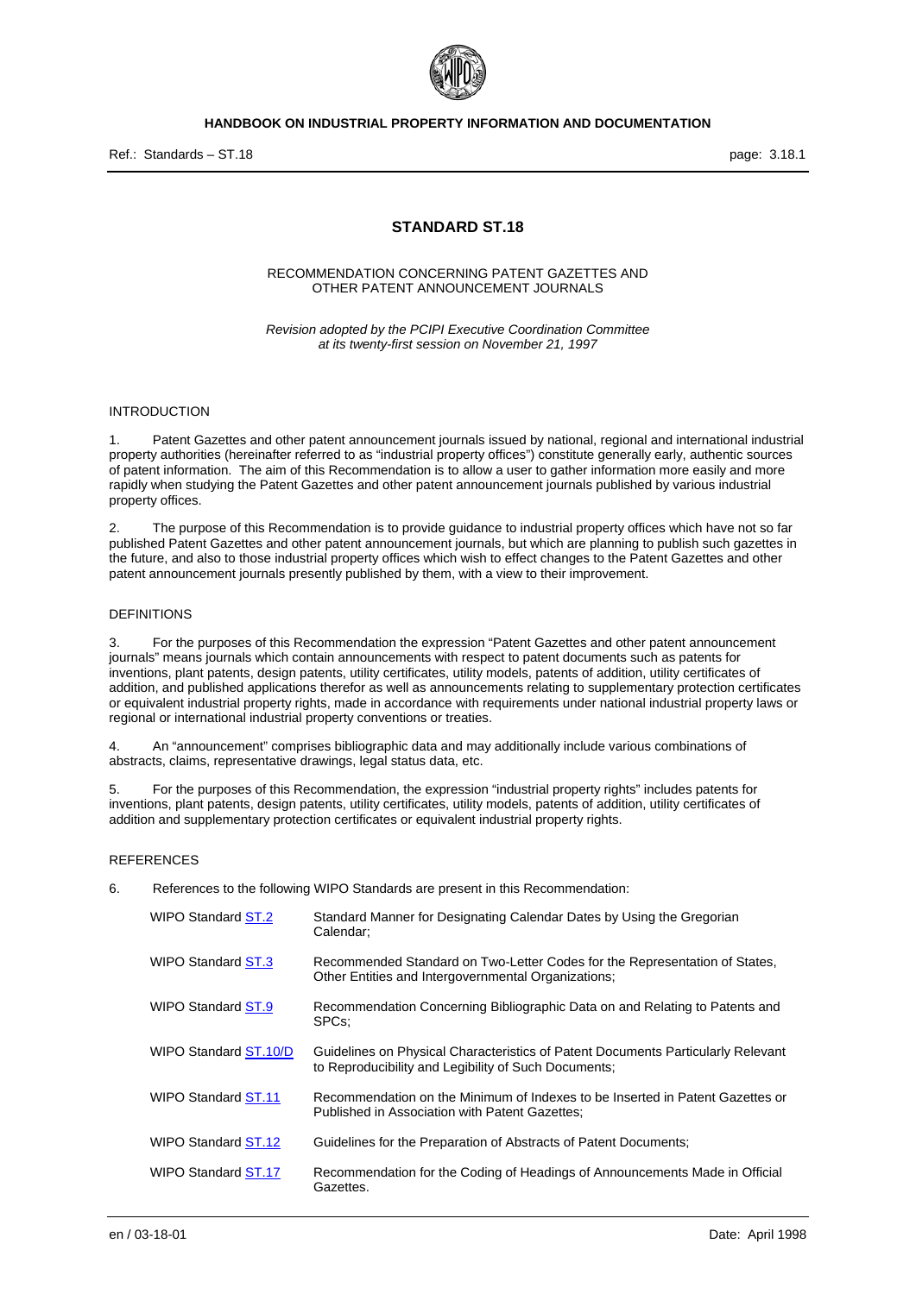

Ref.: Standards – ST.18 page: 3.18.1

# **STANDARD ST.18**

### RECOMMENDATION CONCERNING PATENT GAZETTES AND OTHER PATENT ANNOUNCEMENT JOURNALS

*Revision adopted by the PCIPI Executive Coordination Committee at its twenty-first session on November 21, 1997* 

# INTRODUCTION

1. Patent Gazettes and other patent announcement journals issued by national, regional and international industrial property authorities (hereinafter referred to as "industrial property offices") constitute generally early, authentic sources of patent information. The aim of this Recommendation is to allow a user to gather information more easily and more rapidly when studying the Patent Gazettes and other patent announcement journals published by various industrial property offices.

2. The purpose of this Recommendation is to provide guidance to industrial property offices which have not so far published Patent Gazettes and other patent announcement journals, but which are planning to publish such gazettes in the future, and also to those industrial property offices which wish to effect changes to the Patent Gazettes and other patent announcement journals presently published by them, with a view to their improvement.

## DEFINITIONS

3. For the purposes of this Recommendation the expression "Patent Gazettes and other patent announcement journals" means journals which contain announcements with respect to patent documents such as patents for inventions, plant patents, design patents, utility certificates, utility models, patents of addition, utility certificates of addition, and published applications therefor as well as announcements relating to supplementary protection certificates or equivalent industrial property rights, made in accordance with requirements under national industrial property laws or regional or international industrial property conventions or treaties.

4. An "announcement" comprises bibliographic data and may additionally include various combinations of abstracts, claims, representative drawings, legal status data, etc.

5. For the purposes of this Recommendation, the expression "industrial property rights" includes patents for inventions, plant patents, design patents, utility certificates, utility models, patents of addition, utility certificates of addition and supplementary protection certificates or equivalent industrial property rights.

### **REFERENCES**

6. References to the following WIPO Standards are present in this Recommendation:

| WIPO Standard ST.2    | Standard Manner for Designating Calendar Dates by Using the Gregorian<br>Calendar:                                                       |
|-----------------------|------------------------------------------------------------------------------------------------------------------------------------------|
| WIPO Standard ST.3    | Recommended Standard on Two-Letter Codes for the Representation of States,<br>Other Entities and Intergovernmental Organizations;        |
| WIPO Standard ST.9    | Recommendation Concerning Bibliographic Data on and Relating to Patents and<br>SPC <sub>s</sub> :                                        |
| WIPO Standard ST.10/D | Guidelines on Physical Characteristics of Patent Documents Particularly Relevant<br>to Reproducibility and Legibility of Such Documents; |
| WIPO Standard ST.11   | Recommendation on the Minimum of Indexes to be Inserted in Patent Gazettes or<br>Published in Association with Patent Gazettes:          |
| WIPO Standard ST.12   | Guidelines for the Preparation of Abstracts of Patent Documents;                                                                         |
| WIPO Standard ST.17   | Recommendation for the Coding of Headings of Announcements Made in Official<br>Gazettes.                                                 |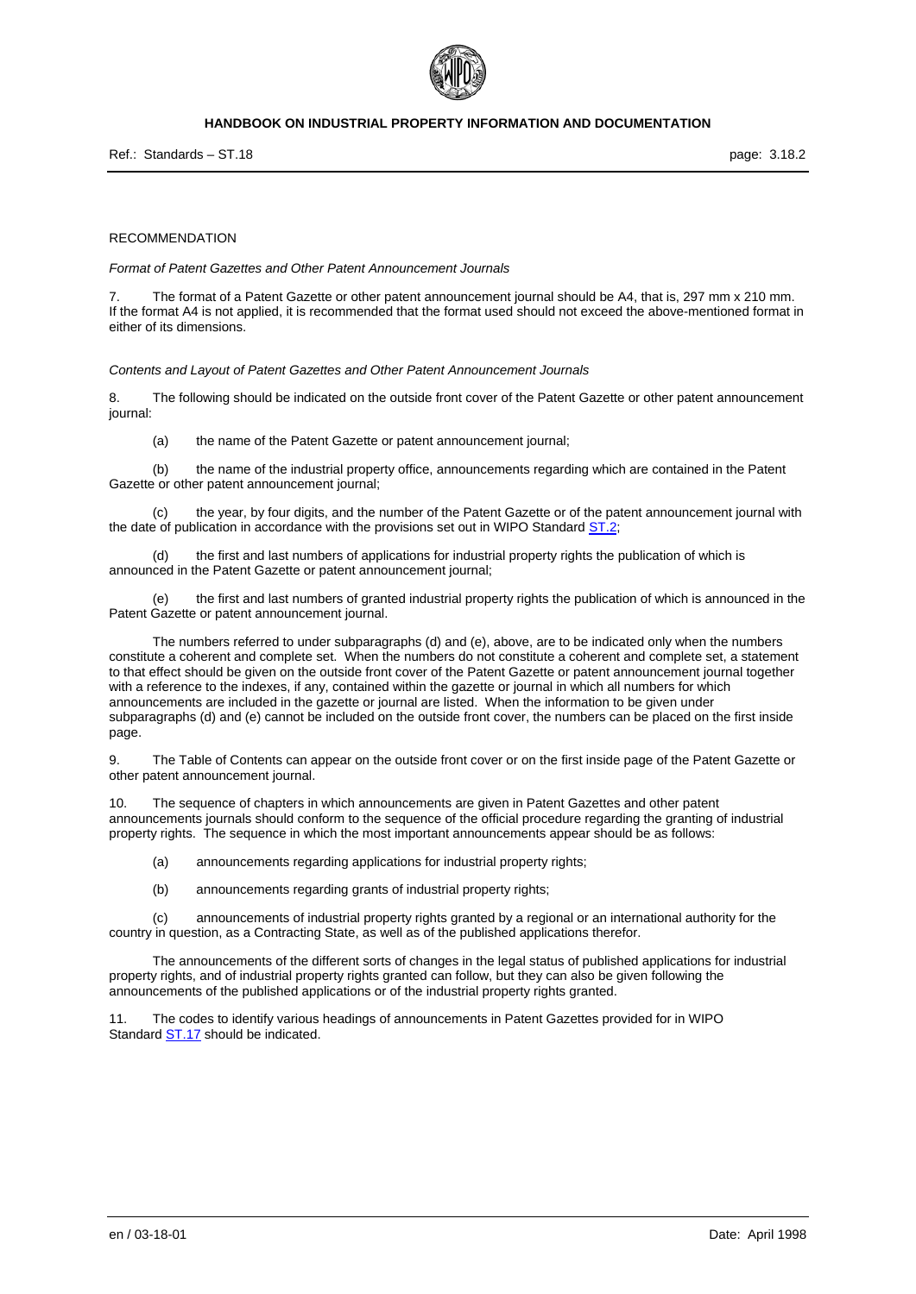

Ref.: Standards – ST.18 page: 3.18.2

#### RECOMMENDATION

*Format of Patent Gazettes and Other Patent Announcement Journals* 

The format of a Patent Gazette or other patent announcement journal should be A4, that is, 297 mm x 210 mm. If the format A4 is not applied, it is recommended that the format used should not exceed the above-mentioned format in either of its dimensions.

*Contents and Layout of Patent Gazettes and Other Patent Announcement Journals* 

8. The following should be indicated on the outside front cover of the Patent Gazette or other patent announcement journal:

(a) the name of the Patent Gazette or patent announcement journal;

 (b) the name of the industrial property office, announcements regarding which are contained in the Patent Gazette or other patent announcement journal;

 (c) the year, by four digits, and the number of the Patent Gazette or of the patent announcement journal with the date of publication in accordance with the provisions set out in WIPO Standard ST.2;

 (d) the first and last numbers of applications for industrial property rights the publication of which is announced in the Patent Gazette or patent announcement journal;

 (e) the first and last numbers of granted industrial property rights the publication of which is announced in the Patent Gazette or patent announcement journal.

 The numbers referred to under subparagraphs (d) and (e), above, are to be indicated only when the numbers constitute a coherent and complete set. When the numbers do not constitute a coherent and complete set, a statement to that effect should be given on the outside front cover of the Patent Gazette or patent announcement journal together with a reference to the indexes, if any, contained within the gazette or journal in which all numbers for which announcements are included in the gazette or journal are listed. When the information to be given under subparagraphs (d) and (e) cannot be included on the outside front cover, the numbers can be placed on the first inside page.

9. The Table of Contents can appear on the outside front cover or on the first inside page of the Patent Gazette or other patent announcement journal.

10. The sequence of chapters in which announcements are given in Patent Gazettes and other patent announcements journals should conform to the sequence of the official procedure regarding the granting of industrial property rights. The sequence in which the most important announcements appear should be as follows:

(a) announcements regarding applications for industrial property rights;

(b) announcements regarding grants of industrial property rights;

 (c) announcements of industrial property rights granted by a regional or an international authority for the country in question, as a Contracting State, as well as of the published applications therefor.

 The announcements of the different sorts of changes in the legal status of published applications for industrial property rights, and of industrial property rights granted can follow, but they can also be given following the announcements of the published applications or of the industrial property rights granted.

11. The codes to identify various headings of announcements in Patent Gazettes provided for in WIPO Standard **ST.17** should be indicated.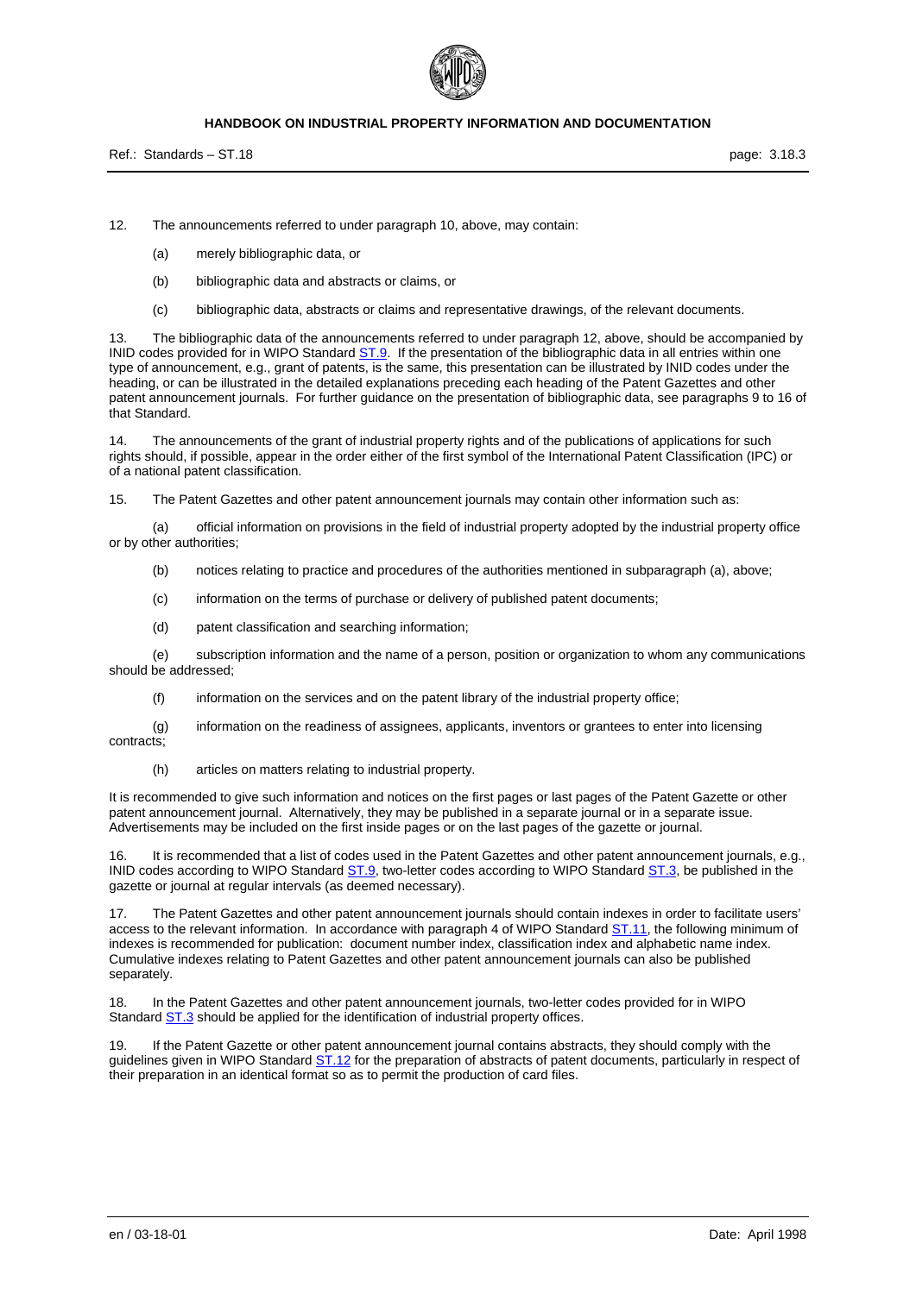

Ref.: Standards – ST.18 page: 3.18.3

12. The announcements referred to under paragraph 10, above, may contain:

- (a) merely bibliographic data, or
- (b) bibliographic data and abstracts or claims, or
- (c) bibliographic data, abstracts or claims and representative drawings, of the relevant documents.

13. The bibliographic data of the announcements referred to under paragraph 12, above, should be accompanied by INID codes provided for in WIPO Standard **ST.9.** If the presentation of the bibliographic data in all entries within one type of announcement, e.g., grant of patents, is the same, this presentation can be illustrated by INID codes under the heading, or can be illustrated in the detailed explanations preceding each heading of the Patent Gazettes and other patent announcement journals. For further guidance on the presentation of bibliographic data, see paragraphs 9 to 16 of that Standard.

14. The announcements of the grant of industrial property rights and of the publications of applications for such rights should, if possible, appear in the order either of the first symbol of the International Patent Classification (IPC) or of a national patent classification.

15. The Patent Gazettes and other patent announcement journals may contain other information such as:

 (a) official information on provisions in the field of industrial property adopted by the industrial property office or by other authorities;

- (b) notices relating to practice and procedures of the authorities mentioned in subparagraph (a), above;
- (c) information on the terms of purchase or delivery of published patent documents;
- (d) patent classification and searching information;

 (e) subscription information and the name of a person, position or organization to whom any communications should be addressed;

(f) information on the services and on the patent library of the industrial property office;

 (g) information on the readiness of assignees, applicants, inventors or grantees to enter into licensing contracts;

(h) articles on matters relating to industrial property.

It is recommended to give such information and notices on the first pages or last pages of the Patent Gazette or other patent announcement journal. Alternatively, they may be published in a separate journal or in a separate issue. Advertisements may be included on the first inside pages or on the last pages of the gazette or journal.

16. It is recommended that a list of codes used in the Patent Gazettes and other patent announcement journals, e.g., INID codes according to WIPO Standard ST.9, two-letter codes according to WIPO Standard ST.3, be published in the gazette or journal at regular intervals (as deemed necessary).

17. The Patent Gazettes and other patent announcement journals should contain indexes in order to facilitate users' access to the relevant information. In accordance with paragraph 4 of WIPO Standard ST.11, the following minimum of indexes is recommended for publication: document number index, classification index and alphabetic name index. Cumulative indexes relating to Patent Gazettes and other patent announcement journals can also be published separately.

18. In the Patent Gazettes and other patent announcement journals, two-letter codes provided for in WIPO Standard **ST.3** should be applied for the identification of industrial property offices.

19. If the Patent Gazette or other patent announcement journal contains abstracts, they should comply with the guidelines given in WIPO Standard ST.12 for the preparation of abstracts of patent documents, particularly in respect of their preparation in an identical format so as to permit the production of card files.